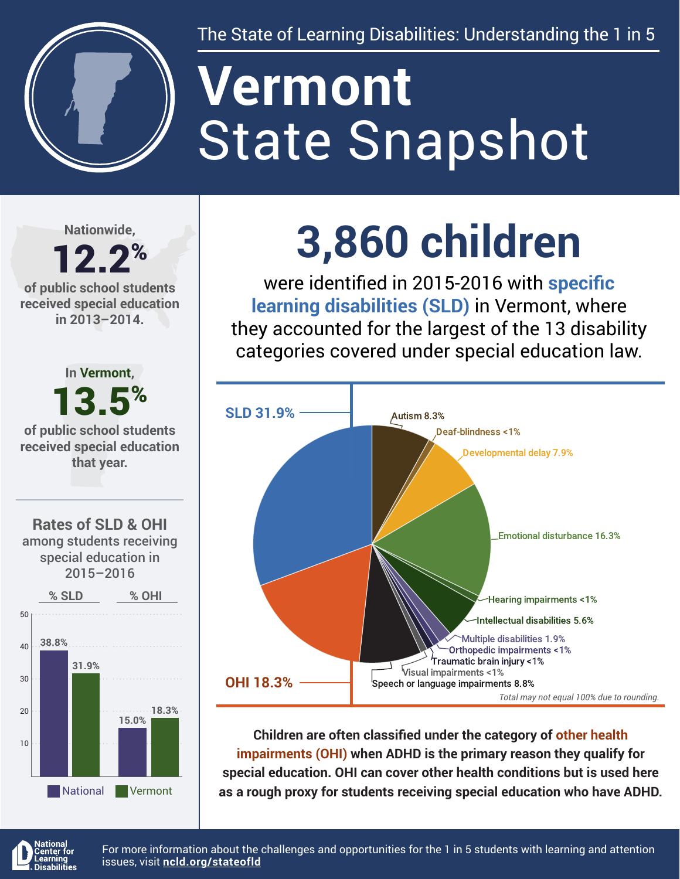

The State of Learning Disabilities: Understanding the 1 in 5

# State Snapshot **Vermont**

**Nationwide,**

### 12.2% **of public school students**

**received special education in 2013–2014.**



## **3,860 children**

were identified in 2015-2016 with **specific learning disabilities (SLD)** in Vermont, where they accounted for the largest of the 13 disability categories covered under special education law.



**Children are often classified under the category of other health impairments (OHI) when ADHD is the primary reason they qualify for special education. OHI can cover other health conditions but is used here as a rough proxy for students receiving special education who have ADHD.**



For more information about the challenges and opportunities for the 1 in 5 students with learning and attention issues, visit **[ncld.org/stateofld](http://ncld.org/stateofld)**